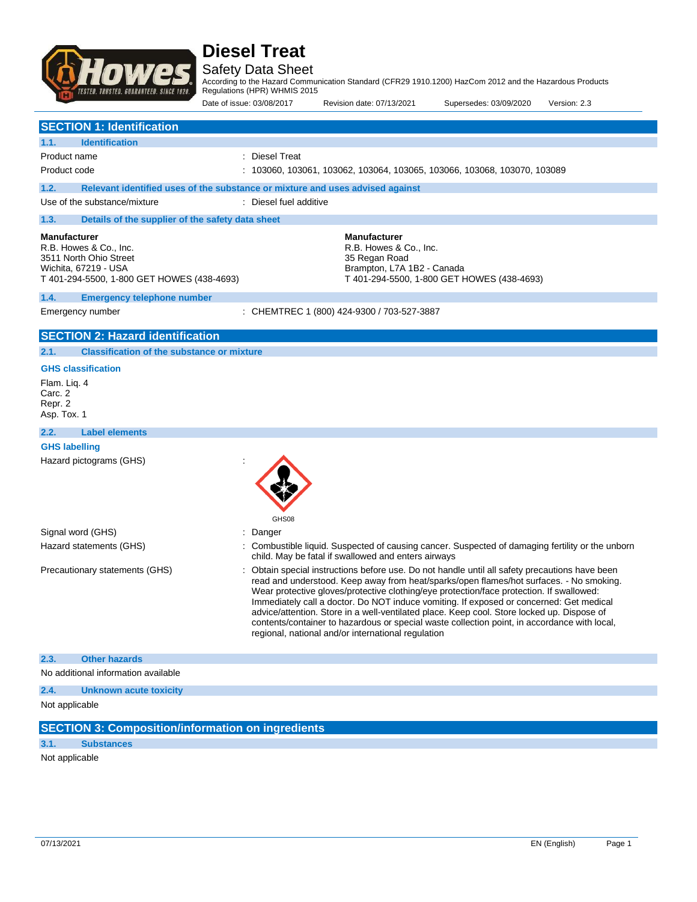

Safety Data Sheet

According to the Hazard Communication Standard (CFR29 1910.1200) HazCom 2012 and the Hazardous Products Regulations (HPR) WHMIS 2015

Date of issue: 03/08/2017 Revision date: 07/13/2021 Supersedes: 03/09/2020 Version: 2.3 **SECTION 1: Identification 1.1. Identification** Product name : Diesel Treat Product code : 103060, 103061, 103062, 103064, 103065, 103066, 103068, 103070, 103089 **1.2. Relevant identified uses of the substance or mixture and uses advised against** Use of the substance/mixture : Diesel fuel additive **1.3. Details of the supplier of the safety data sheet Manufacturer** R.B. Howes & Co., Inc. 3511 North Ohio Street Wichita, 67219 - USA T 401-294-5500, 1-800 GET HOWES (438-4693) **Manufacturer** R.B. Howes & Co., Inc. 35 Regan Road Brampton, L7A 1B2 - Canada T 401-294-5500, 1-800 GET HOWES (438-4693) **1.4. Emergency telephone number** Emergency number : CHEMTREC 1 (800) 424-9300 / 703-527-3887 **SECTION 2: Hazard identification 2.1. Classification of the substance or mixture GHS classification** Flam. Liq. 4 Carc. 2 Repr. 2

Asp. Tox. 1

## **2.2. Label elements**

**GHS labelling** Hazard pictograms (GHS) :

|                                |                                     | GHS08                                                                                                                                                                                                                                                                                                                                                                                                                                                                                                                                                                                                                                |
|--------------------------------|-------------------------------------|--------------------------------------------------------------------------------------------------------------------------------------------------------------------------------------------------------------------------------------------------------------------------------------------------------------------------------------------------------------------------------------------------------------------------------------------------------------------------------------------------------------------------------------------------------------------------------------------------------------------------------------|
| Signal word (GHS)              |                                     | : Danger                                                                                                                                                                                                                                                                                                                                                                                                                                                                                                                                                                                                                             |
| Hazard statements (GHS)        |                                     | : Combustible liquid. Suspected of causing cancer. Suspected of damaging fertility or the unborn<br>child. May be fatal if swallowed and enters airways                                                                                                                                                                                                                                                                                                                                                                                                                                                                              |
| Precautionary statements (GHS) |                                     | : Obtain special instructions before use. Do not handle until all safety precautions have been<br>read and understood. Keep away from heat/sparks/open flames/hot surfaces. - No smoking.<br>Wear protective gloves/protective clothing/eye protection/face protection. If swallowed:<br>Immediately call a doctor. Do NOT induce vomiting. If exposed or concerned: Get medical<br>advice/attention. Store in a well-ventilated place. Keep cool. Store locked up. Dispose of<br>contents/container to hazardous or special waste collection point, in accordance with local,<br>regional, national and/or international regulation |
| 2.3.                           | <b>Other hazards</b>                |                                                                                                                                                                                                                                                                                                                                                                                                                                                                                                                                                                                                                                      |
|                                | No additional information available |                                                                                                                                                                                                                                                                                                                                                                                                                                                                                                                                                                                                                                      |
| 2.4.                           | <b>Unknown acute toxicity</b>       |                                                                                                                                                                                                                                                                                                                                                                                                                                                                                                                                                                                                                                      |
| Not applicable                 |                                     |                                                                                                                                                                                                                                                                                                                                                                                                                                                                                                                                                                                                                                      |

#### **SECTION 3: Composition/information on ingredients**

**3.1. Substances**

Not applicable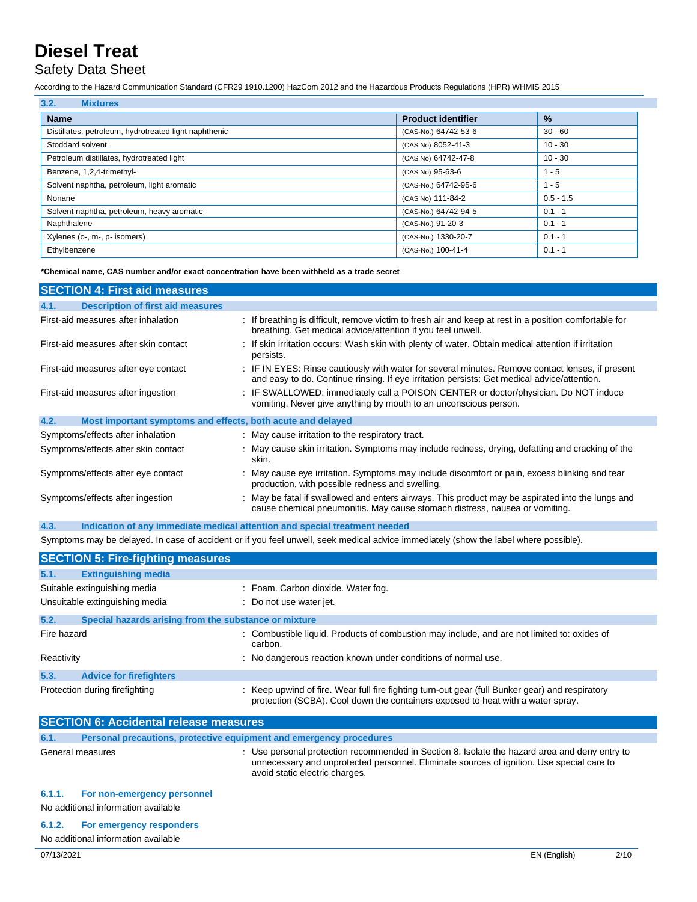### Safety Data Sheet

According to the Hazard Communication Standard (CFR29 1910.1200) HazCom 2012 and the Hazardous Products Regulations (HPR) WHMIS 2015

| 3.2.<br><b>Mixtures</b>                               |                           |             |
|-------------------------------------------------------|---------------------------|-------------|
| <b>Name</b>                                           | <b>Product identifier</b> | $\%$        |
| Distillates, petroleum, hydrotreated light naphthenic | (CAS-No.) 64742-53-6      | $30 - 60$   |
| Stoddard solvent                                      | (CAS No) 8052-41-3        | $10 - 30$   |
| Petroleum distillates, hydrotreated light             | (CAS No) 64742-47-8       | $10 - 30$   |
| Benzene, 1,2,4-trimethyl-                             | (CAS No) 95-63-6          | $1 - 5$     |
| Solvent naphtha, petroleum, light aromatic            | (CAS-No.) 64742-95-6      | $1 - 5$     |
| Nonane                                                | (CAS No) 111-84-2         | $0.5 - 1.5$ |
| Solvent naphtha, petroleum, heavy aromatic            | (CAS-No.) 64742-94-5      | $0.1 - 1$   |
| Naphthalene                                           | (CAS-No.) 91-20-3         | $0.1 - 1$   |
| Xylenes (o-, m-, p- isomers)                          | (CAS-No.) 1330-20-7       | $0.1 - 1$   |
| Ethylbenzene                                          | (CAS-No.) 100-41-4        | $0.1 - 1$   |

**\*Chemical name, CAS number and/or exact concentration have been withheld as a trade secret**

| <b>SECTION 4: First aid measures</b>                                |                                                                                                                                                                                                 |
|---------------------------------------------------------------------|-------------------------------------------------------------------------------------------------------------------------------------------------------------------------------------------------|
| <b>Description of first aid measures</b><br>4.1.                    |                                                                                                                                                                                                 |
| First-aid measures after inhalation                                 | : If breathing is difficult, remove victim to fresh air and keep at rest in a position comfortable for<br>breathing. Get medical advice/attention if you feel unwell.                           |
| First-aid measures after skin contact                               | : If skin irritation occurs: Wash skin with plenty of water. Obtain medical attention if irritation<br>persists.                                                                                |
| First-aid measures after eye contact                                | : IF IN EYES: Rinse cautiously with water for several minutes. Remove contact lenses, if present<br>and easy to do. Continue rinsing. If eye irritation persists: Get medical advice/attention. |
| First-aid measures after ingestion                                  | : IF SWALLOWED: immediately call a POISON CENTER or doctor/physician. Do NOT induce<br>vomiting. Never give anything by mouth to an unconscious person.                                         |
| 4.2.<br>Most important symptoms and effects, both acute and delayed |                                                                                                                                                                                                 |
| Symptoms/effects after inhalation                                   | : May cause irritation to the respiratory tract.                                                                                                                                                |
| Symptoms/effects after skin contact                                 | : May cause skin irritation. Symptoms may include redness, drying, defatting and cracking of the<br>skin.                                                                                       |
| Symptoms/effects after eye contact                                  | : May cause eye irritation. Symptoms may include discomfort or pain, excess blinking and tear<br>production, with possible redness and swelling.                                                |
| Symptoms/effects after ingestion                                    | : May be fatal if swallowed and enters airways. This product may be aspirated into the lungs and<br>cause chemical pneumonitis. May cause stomach distress, nausea or vomiting.                 |

**4.3. Indication of any immediate medical attention and special treatment needed**

Symptoms may be delayed. In case of accident or if you feel unwell, seek medical advice immediately (show the label where possible).

|                                | <b>SECTION 5: Fire-fighting measures</b>              |                                                                                                                                                                                  |
|--------------------------------|-------------------------------------------------------|----------------------------------------------------------------------------------------------------------------------------------------------------------------------------------|
| 5.1.                           | <b>Extinguishing media</b>                            |                                                                                                                                                                                  |
|                                | Suitable extinguishing media                          | : Foam. Carbon dioxide. Water fog.                                                                                                                                               |
| Unsuitable extinguishing media |                                                       | : Do not use water jet.                                                                                                                                                          |
| 5.2.                           | Special hazards arising from the substance or mixture |                                                                                                                                                                                  |
| Fire hazard                    |                                                       | : Combustible liquid. Products of combustion may include, and are not limited to: oxides of<br>carbon.                                                                           |
| Reactivity                     |                                                       | : No dangerous reaction known under conditions of normal use.                                                                                                                    |
| 5.3.                           | <b>Advice for firefighters</b>                        |                                                                                                                                                                                  |
| Protection during firefighting |                                                       | Keep upwind of fire. Wear full fire fighting turn-out gear (full Bunker gear) and respiratory<br>protection (SCBA). Cool down the containers exposed to heat with a water spray. |

| <b>SECTION 6: Accidental release measures</b> |                                                                     |                                                                                                                                                                                                                              |  |
|-----------------------------------------------|---------------------------------------------------------------------|------------------------------------------------------------------------------------------------------------------------------------------------------------------------------------------------------------------------------|--|
| 6.1.                                          | Personal precautions, protective equipment and emergency procedures |                                                                                                                                                                                                                              |  |
| General measures                              |                                                                     | : Use personal protection recommended in Section 8. Isolate the hazard area and deny entry to<br>unnecessary and unprotected personnel. Eliminate sources of ignition. Use special care to<br>avoid static electric charges. |  |
| 6.1.1.                                        | For non-emergency personnel                                         |                                                                                                                                                                                                                              |  |
|                                               | No additional information available                                 |                                                                                                                                                                                                                              |  |
| 6.1.2.                                        | For emergency responders<br>No additional information available     |                                                                                                                                                                                                                              |  |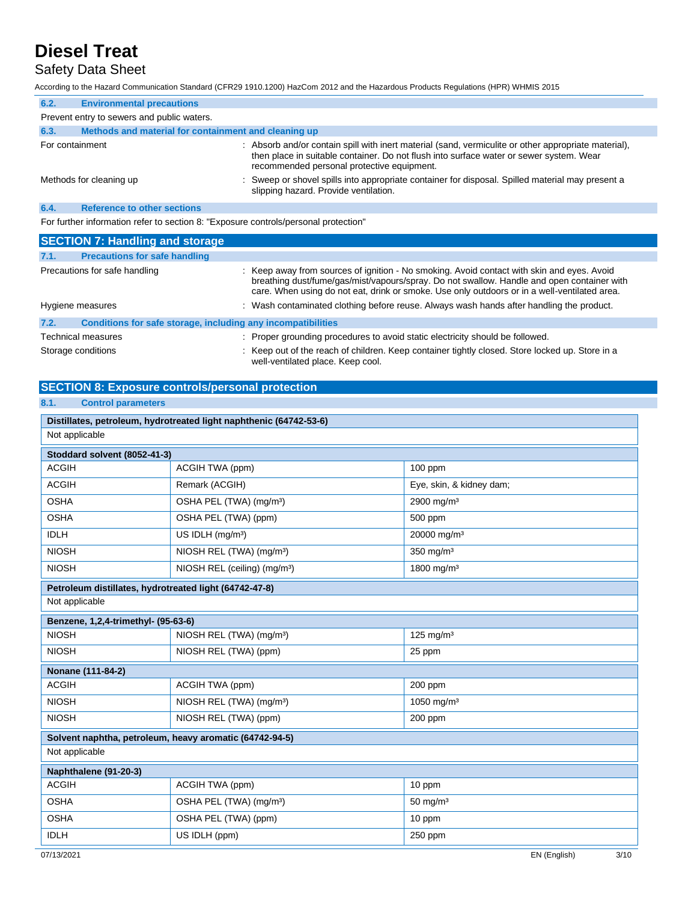## Safety Data Sheet

According to the Hazard Communication Standard (CFR29 1910.1200) HazCom 2012 and the Hazardous Products Regulations (HPR) WHMIS 2015

| 6.2.                                                                                | <b>Environmental precautions</b>                     |                                                                                                                                                                                                                                               |  |
|-------------------------------------------------------------------------------------|------------------------------------------------------|-----------------------------------------------------------------------------------------------------------------------------------------------------------------------------------------------------------------------------------------------|--|
|                                                                                     | Prevent entry to sewers and public waters.           |                                                                                                                                                                                                                                               |  |
| 6.3.                                                                                | Methods and material for containment and cleaning up |                                                                                                                                                                                                                                               |  |
| For containment                                                                     |                                                      | : Absorb and/or contain spill with inert material (sand, vermiculite or other appropriate material),<br>then place in suitable container. Do not flush into surface water or sewer system. Wear<br>recommended personal protective equipment. |  |
| Methods for cleaning up                                                             |                                                      | : Sweep or shovel spills into appropriate container for disposal. Spilled material may present a<br>slipping hazard. Provide ventilation.                                                                                                     |  |
| 6.4.                                                                                | <b>Reference to other sections</b>                   |                                                                                                                                                                                                                                               |  |
| For further information refer to section 8: "Exposure controls/personal protection" |                                                      |                                                                                                                                                                                                                                               |  |

| <b>SECTION 7: Handling and storage</b> |                                                              |                                                                                                                                                                                                                                                                                          |  |
|----------------------------------------|--------------------------------------------------------------|------------------------------------------------------------------------------------------------------------------------------------------------------------------------------------------------------------------------------------------------------------------------------------------|--|
| 7.1.                                   | <b>Precautions for safe handling</b>                         |                                                                                                                                                                                                                                                                                          |  |
| Precautions for safe handling          |                                                              | : Keep away from sources of ignition - No smoking. Avoid contact with skin and eyes. Avoid<br>breathing dust/fume/gas/mist/vapours/spray. Do not swallow. Handle and open container with<br>care. When using do not eat, drink or smoke. Use only outdoors or in a well-ventilated area. |  |
| Hygiene measures                       |                                                              | : Wash contaminated clothing before reuse. Always wash hands after handling the product.                                                                                                                                                                                                 |  |
| 7.2.                                   | Conditions for safe storage, including any incompatibilities |                                                                                                                                                                                                                                                                                          |  |
| Technical measures                     |                                                              | : Proper grounding procedures to avoid static electricity should be followed.                                                                                                                                                                                                            |  |
| Storage conditions                     |                                                              | : Keep out of the reach of children. Keep container tightly closed. Store locked up. Store in a                                                                                                                                                                                          |  |

well-ventilated place. Keep cool.

#### **SECTION 8: Exposure controls/personal protection**

### **8.1. Control parameters**

| Distillates, petroleum, hydrotreated light naphthenic (64742-53-6) |                                          |                          |  |
|--------------------------------------------------------------------|------------------------------------------|--------------------------|--|
| Not applicable                                                     |                                          |                          |  |
| Stoddard solvent (8052-41-3)                                       |                                          |                          |  |
| <b>ACGIH</b>                                                       | ACGIH TWA (ppm)                          | $100$ ppm                |  |
| <b>ACGIH</b>                                                       | Remark (ACGIH)                           | Eye, skin, & kidney dam; |  |
| <b>OSHA</b>                                                        | OSHA PEL (TWA) (mg/m <sup>3</sup> )      | 2900 mg/m <sup>3</sup>   |  |
| <b>OSHA</b>                                                        | OSHA PEL (TWA) (ppm)                     | 500 ppm                  |  |
| <b>IDLH</b>                                                        | US IDLH (mg/m <sup>3</sup> )             | 20000 mg/m <sup>3</sup>  |  |
| <b>NIOSH</b>                                                       | NIOSH REL (TWA) (mg/m <sup>3</sup> )     | $350$ mg/m <sup>3</sup>  |  |
| <b>NIOSH</b>                                                       | NIOSH REL (ceiling) (mg/m <sup>3</sup> ) | 1800 mg/m <sup>3</sup>   |  |
| Petroleum distillates, hydrotreated light (64742-47-8)             |                                          |                          |  |
| Not applicable                                                     |                                          |                          |  |
| Benzene, 1,2,4-trimethyl- (95-63-6)                                |                                          |                          |  |
| <b>NIOSH</b>                                                       | NIOSH REL (TWA) (mg/m <sup>3</sup> )     | 125 mg/m $3$             |  |
| <b>NIOSH</b>                                                       | NIOSH REL (TWA) (ppm)                    | 25 ppm                   |  |
| Nonane (111-84-2)                                                  |                                          |                          |  |
| <b>ACGIH</b>                                                       | ACGIH TWA (ppm)                          | 200 ppm                  |  |
| <b>NIOSH</b>                                                       | NIOSH REL (TWA) (mg/m <sup>3</sup> )     | 1050 mg/m <sup>3</sup>   |  |
| <b>NIOSH</b>                                                       | NIOSH REL (TWA) (ppm)                    | 200 ppm                  |  |
| Solvent naphtha, petroleum, heavy aromatic (64742-94-5)            |                                          |                          |  |
| Not applicable                                                     |                                          |                          |  |
| Naphthalene (91-20-3)                                              |                                          |                          |  |
| <b>ACGIH</b>                                                       | ACGIH TWA (ppm)                          | 10 ppm                   |  |
| <b>OSHA</b>                                                        | OSHA PEL (TWA) (mg/m <sup>3</sup> )      | $50 \text{ mg/m}^3$      |  |
| <b>OSHA</b>                                                        | OSHA PEL (TWA) (ppm)                     | 10 ppm                   |  |
| <b>IDLH</b>                                                        | US IDLH (ppm)                            | 250 ppm                  |  |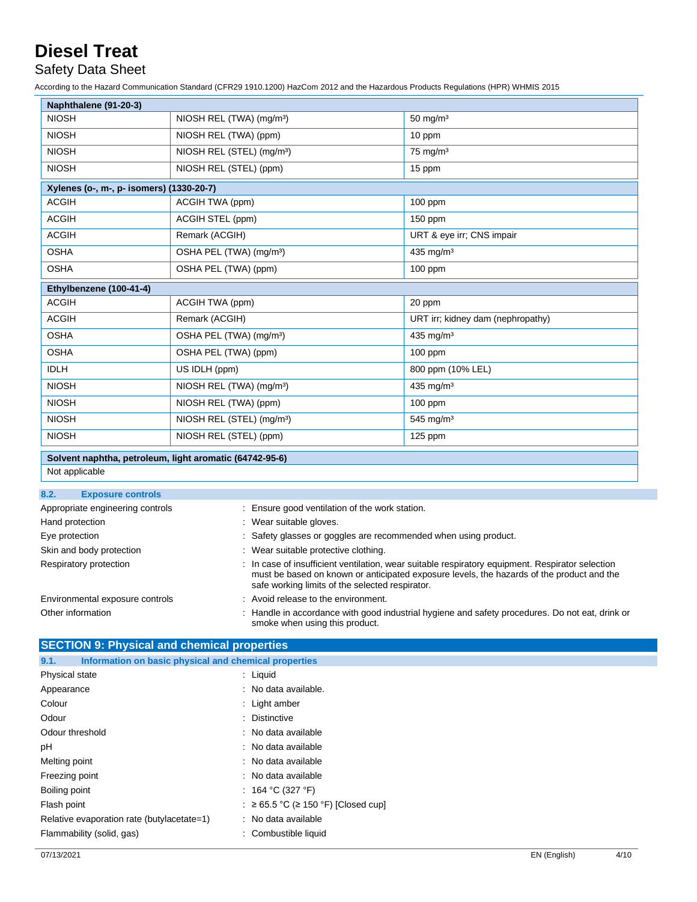### Safety Data Sheet

According to the Hazard Communication Standard (CFR29 1910.1200) HazCom 2012 and the Hazardous Products Regulations (HPR) WHMIS 2015

| Naphthalene (91-20-3)                    |                                       |                                   |  |
|------------------------------------------|---------------------------------------|-----------------------------------|--|
| <b>NIOSH</b>                             | NIOSH REL (TWA) (mg/m <sup>3</sup> )  | $50 \text{ mg/m}^3$               |  |
| <b>NIOSH</b>                             | NIOSH REL (TWA) (ppm)                 | 10 ppm                            |  |
| <b>NIOSH</b>                             | NIOSH REL (STEL) (mg/m <sup>3</sup> ) | 75 mg/m <sup>3</sup>              |  |
| <b>NIOSH</b>                             | NIOSH REL (STEL) (ppm)                | 15 ppm                            |  |
| Xylenes (o-, m-, p- isomers) (1330-20-7) |                                       |                                   |  |
| <b>ACGIH</b>                             | ACGIH TWA (ppm)                       | $100$ ppm                         |  |
| <b>ACGIH</b>                             | ACGIH STEL (ppm)                      | 150 ppm                           |  |
| <b>ACGIH</b>                             | Remark (ACGIH)                        | URT & eye irr; CNS impair         |  |
| <b>OSHA</b>                              | OSHA PEL (TWA) (mg/m <sup>3</sup> )   | 435 mg/m <sup>3</sup>             |  |
| <b>OSHA</b>                              | OSHA PEL (TWA) (ppm)                  | 100 ppm                           |  |
| Ethylbenzene (100-41-4)                  |                                       |                                   |  |
| <b>ACGIH</b>                             | ACGIH TWA (ppm)                       | 20 ppm                            |  |
| <b>ACGIH</b>                             | Remark (ACGIH)                        | URT irr; kidney dam (nephropathy) |  |
| <b>OSHA</b>                              | OSHA PEL (TWA) (mg/m <sup>3</sup> )   | 435 mg/m $3$                      |  |
| <b>OSHA</b>                              | OSHA PEL (TWA) (ppm)                  | $100$ ppm                         |  |
| <b>IDLH</b>                              | US IDLH (ppm)                         | 800 ppm (10% LEL)                 |  |
| <b>NIOSH</b>                             | NIOSH REL (TWA) (mg/m <sup>3</sup> )  | 435 mg/m <sup>3</sup>             |  |
| <b>NIOSH</b>                             | NIOSH REL (TWA) (ppm)                 | $100$ ppm                         |  |
| <b>NIOSH</b>                             | NIOSH REL (STEL) (mg/m <sup>3</sup> ) | 545 mg/m <sup>3</sup>             |  |
| <b>NIOSH</b>                             | NIOSH REL (STEL) (ppm)                | 125 ppm                           |  |

#### **Solvent naphtha, petroleum, light aromatic (64742-95-6)**

Not applicable

| 8.2.<br><b>Exposure controls</b> |                                                                                                                                                                                                                                                  |
|----------------------------------|--------------------------------------------------------------------------------------------------------------------------------------------------------------------------------------------------------------------------------------------------|
| Appropriate engineering controls | : Ensure good ventilation of the work station.                                                                                                                                                                                                   |
| Hand protection                  | : Wear suitable gloves.                                                                                                                                                                                                                          |
| Eye protection                   | : Safety glasses or goggles are recommended when using product.                                                                                                                                                                                  |
| Skin and body protection         | : Wear suitable protective clothing.                                                                                                                                                                                                             |
| Respiratory protection           | : In case of insufficient ventilation, wear suitable respiratory equipment. Respirator selection<br>must be based on known or anticipated exposure levels, the hazards of the product and the<br>safe working limits of the selected respirator. |
| Environmental exposure controls  | : Avoid release to the environment.                                                                                                                                                                                                              |
| Other information                | Handle in accordance with good industrial hygiene and safety procedures. Do not eat, drink or<br>smoke when using this product.                                                                                                                  |

### **SECTION 9: Physical and chemical properties**

| Information on basic physical and chemical properties<br>9.1. |                                                |
|---------------------------------------------------------------|------------------------------------------------|
| Physical state                                                | $:$ Liquid                                     |
| Appearance                                                    | : No data available.                           |
| Colour                                                        | : Light amber                                  |
| Odour                                                         | : Distinctive                                  |
| Odour threshold                                               | : No data available                            |
| рH                                                            | : No data available                            |
| Melting point                                                 | : No data available                            |
| Freezing point                                                | : No data available                            |
| Boiling point                                                 | : 164 °C (327 °F)                              |
| Flash point                                                   | $: \geq 65.5$ °C ( $\geq 150$ °F) [Closed cup] |
| Relative evaporation rate (butylacetate=1)                    | : No data available                            |
| Flammability (solid, gas)                                     | : Combustible liquid                           |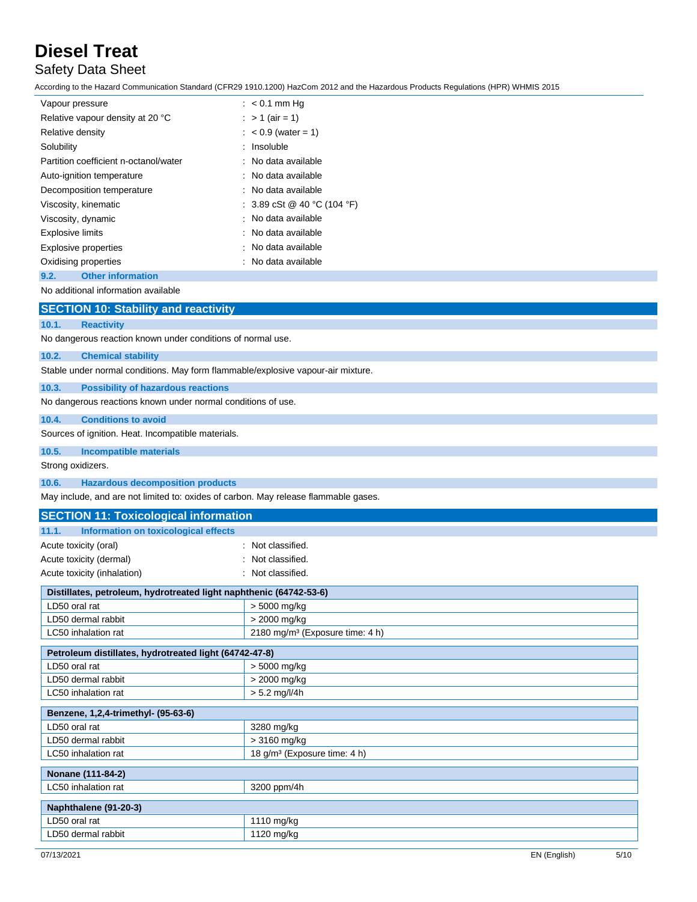## Safety Data Sheet

According to the Hazard Communication Standard (CFR29 1910.1200) HazCom 2012 and the Hazardous Products Regulations (HPR) WHMIS 2015

| Vapour pressure                       | $: < 0.1$ mm Hq                                         |
|---------------------------------------|---------------------------------------------------------|
| Relative vapour density at 20 °C      | : > 1 (air = 1)                                         |
| Relative density                      | $: < 0.9$ (water = 1)                                   |
| Solubility                            | : Insoluble                                             |
| Partition coefficient n-octanol/water | : No data available                                     |
| Auto-ignition temperature             | : No data available                                     |
| Decomposition temperature             | : No data available                                     |
| Viscosity, kinematic                  | : $3.89 \text{ cSt} \ @ 40 \text{ °C} (104 \text{ °F})$ |
| Viscosity, dynamic                    | : No data available                                     |
| <b>Explosive limits</b>               | : No data available                                     |
| <b>Explosive properties</b>           | : No data available                                     |
| Oxidising properties                  | : No data available                                     |
| <b>Other information</b><br>9.2.      |                                                         |

No additional information available

|                                                                                  | <b>SECTION 10: Stability and reactivity</b>                  |  |  |
|----------------------------------------------------------------------------------|--------------------------------------------------------------|--|--|
| 10.1.                                                                            | <b>Reactivity</b>                                            |  |  |
|                                                                                  | No dangerous reaction known under conditions of normal use.  |  |  |
| 10.2.                                                                            | <b>Chemical stability</b>                                    |  |  |
| Stable under normal conditions. May form flammable/explosive vapour-air mixture. |                                                              |  |  |
| 10.3.                                                                            | <b>Possibility of hazardous reactions</b>                    |  |  |
|                                                                                  | No dangerous reactions known under normal conditions of use. |  |  |
| 10.4.                                                                            | <b>Conditions to avoid</b>                                   |  |  |
| Sources of ignition. Heat. Incompatible materials.                               |                                                              |  |  |
| 10.5.                                                                            | <b>Incompatible materials</b>                                |  |  |
| Strong oxidizers.                                                                |                                                              |  |  |
| 10.6.                                                                            | <b>Hazardous decomposition products</b>                      |  |  |

May include, and are not limited to: oxides of carbon. May release flammable gases.

| <b>SECTION 11: Toxicological information</b>                       |                                             |  |
|--------------------------------------------------------------------|---------------------------------------------|--|
| <b>Information on toxicological effects</b><br>11.1.               |                                             |  |
| Acute toxicity (oral)                                              | : Not classified.                           |  |
| Acute toxicity (dermal)                                            | Not classified.                             |  |
| Acute toxicity (inhalation)                                        | Not classified.                             |  |
| Distillates, petroleum, hydrotreated light naphthenic (64742-53-6) |                                             |  |
| LD50 oral rat                                                      | > 5000 mg/kg                                |  |
| LD50 dermal rabbit                                                 | $> 2000$ mg/kg                              |  |
| LC50 inhalation rat                                                | 2180 mg/m <sup>3</sup> (Exposure time: 4 h) |  |
| Petroleum distillates, hydrotreated light (64742-47-8)             |                                             |  |
| LD50 oral rat                                                      | > 5000 mg/kg                                |  |
| LD50 dermal rabbit                                                 | $> 2000$ mg/kg                              |  |
| LC50 inhalation rat                                                | $> 5.2$ mg/l/4h                             |  |
| Benzene, 1,2,4-trimethyl- (95-63-6)                                |                                             |  |
| LD50 oral rat                                                      | 3280 mg/kg                                  |  |
| LD50 dermal rabbit                                                 | $>3160$ mg/kg                               |  |
| LC50 inhalation rat                                                | 18 g/m <sup>3</sup> (Exposure time: 4 h)    |  |
| Nonane (111-84-2)                                                  |                                             |  |
| LC50 inhalation rat                                                | 3200 ppm/4h                                 |  |
| Naphthalene (91-20-3)                                              |                                             |  |
| LD50 oral rat                                                      | 1110 mg/kg                                  |  |
| LD50 dermal rabbit                                                 | 1120 mg/kg                                  |  |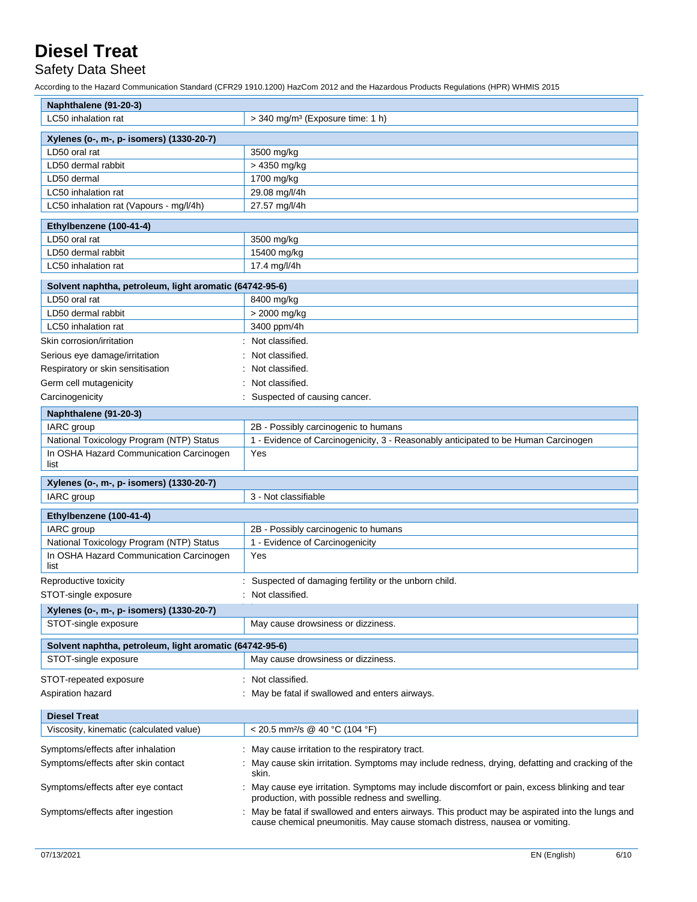Safety Data Sheet

According to the Hazard Communication Standard (CFR29 1910.1200) HazCom 2012 and the Hazardous Products Regulations (HPR) WHMIS 2015

| Naphthalene (91-20-3)                                   |                                                                                                                                                                               |  |  |
|---------------------------------------------------------|-------------------------------------------------------------------------------------------------------------------------------------------------------------------------------|--|--|
| LC50 inhalation rat                                     | $>$ 340 mg/m <sup>3</sup> (Exposure time: 1 h)                                                                                                                                |  |  |
| Xylenes (o-, m-, p- isomers) (1330-20-7)                |                                                                                                                                                                               |  |  |
| LD50 oral rat                                           | 3500 mg/kg                                                                                                                                                                    |  |  |
| LD50 dermal rabbit                                      | > 4350 mg/kg                                                                                                                                                                  |  |  |
| LD50 dermal                                             | 1700 mg/kg                                                                                                                                                                    |  |  |
| LC50 inhalation rat                                     | 29.08 mg/l/4h                                                                                                                                                                 |  |  |
| LC50 inhalation rat (Vapours - mg/l/4h)                 | 27.57 mg/l/4h                                                                                                                                                                 |  |  |
|                                                         |                                                                                                                                                                               |  |  |
| Ethylbenzene (100-41-4)                                 |                                                                                                                                                                               |  |  |
| LD50 oral rat                                           | 3500 mg/kg                                                                                                                                                                    |  |  |
| LD50 dermal rabbit                                      | 15400 mg/kg                                                                                                                                                                   |  |  |
| LC50 inhalation rat                                     | 17.4 mg/l/4h                                                                                                                                                                  |  |  |
| Solvent naphtha, petroleum, light aromatic (64742-95-6) |                                                                                                                                                                               |  |  |
| LD50 oral rat                                           | 8400 mg/kg                                                                                                                                                                    |  |  |
| LD50 dermal rabbit                                      | > 2000 mg/kg                                                                                                                                                                  |  |  |
| LC50 inhalation rat                                     | 3400 ppm/4h                                                                                                                                                                   |  |  |
| Skin corrosion/irritation                               | Not classified.                                                                                                                                                               |  |  |
| Serious eye damage/irritation                           | Not classified.                                                                                                                                                               |  |  |
| Respiratory or skin sensitisation                       | Not classified.                                                                                                                                                               |  |  |
| Germ cell mutagenicity                                  | Not classified.                                                                                                                                                               |  |  |
| Carcinogenicity                                         | : Suspected of causing cancer.                                                                                                                                                |  |  |
| Naphthalene (91-20-3)                                   |                                                                                                                                                                               |  |  |
| IARC group                                              | 2B - Possibly carcinogenic to humans                                                                                                                                          |  |  |
| National Toxicology Program (NTP) Status                | 1 - Evidence of Carcinogenicity, 3 - Reasonably anticipated to be Human Carcinogen                                                                                            |  |  |
| In OSHA Hazard Communication Carcinogen                 | Yes                                                                                                                                                                           |  |  |
| list                                                    |                                                                                                                                                                               |  |  |
| Xylenes (o-, m-, p- isomers) (1330-20-7)                |                                                                                                                                                                               |  |  |
| IARC group                                              | 3 - Not classifiable                                                                                                                                                          |  |  |
|                                                         |                                                                                                                                                                               |  |  |
| Ethylbenzene (100-41-4)<br>IARC group                   |                                                                                                                                                                               |  |  |
| National Toxicology Program (NTP) Status                | 2B - Possibly carcinogenic to humans<br>1 - Evidence of Carcinogenicity                                                                                                       |  |  |
| In OSHA Hazard Communication Carcinogen                 | Yes                                                                                                                                                                           |  |  |
| list                                                    |                                                                                                                                                                               |  |  |
| Reproductive toxicity                                   | : Suspected of damaging fertility or the unborn child.                                                                                                                        |  |  |
| STOT-single exposure                                    | : Not classified.                                                                                                                                                             |  |  |
| Xylenes (o-, m-, p- isomers) (1330-20-7)                |                                                                                                                                                                               |  |  |
| STOT-single exposure                                    | May cause drowsiness or dizziness.                                                                                                                                            |  |  |
| Solvent naphtha, petroleum, light aromatic (64742-95-6) |                                                                                                                                                                               |  |  |
| STOT-single exposure                                    | May cause drowsiness or dizziness.                                                                                                                                            |  |  |
|                                                         |                                                                                                                                                                               |  |  |
| STOT-repeated exposure                                  | Not classified.                                                                                                                                                               |  |  |
| Aspiration hazard                                       | May be fatal if swallowed and enters airways.                                                                                                                                 |  |  |
| <b>Diesel Treat</b>                                     |                                                                                                                                                                               |  |  |
| Viscosity, kinematic (calculated value)                 | < 20.5 mm <sup>2</sup> /s @ 40 °C (104 °F)                                                                                                                                    |  |  |
| Symptoms/effects after inhalation                       | May cause irritation to the respiratory tract.                                                                                                                                |  |  |
| Symptoms/effects after skin contact                     | May cause skin irritation. Symptoms may include redness, drying, defatting and cracking of the                                                                                |  |  |
|                                                         | skin.                                                                                                                                                                         |  |  |
| Symptoms/effects after eye contact                      | May cause eye irritation. Symptoms may include discomfort or pain, excess blinking and tear<br>production, with possible redness and swelling.                                |  |  |
| Symptoms/effects after ingestion                        | May be fatal if swallowed and enters airways. This product may be aspirated into the lungs and<br>cause chemical pneumonitis. May cause stomach distress, nausea or vomiting. |  |  |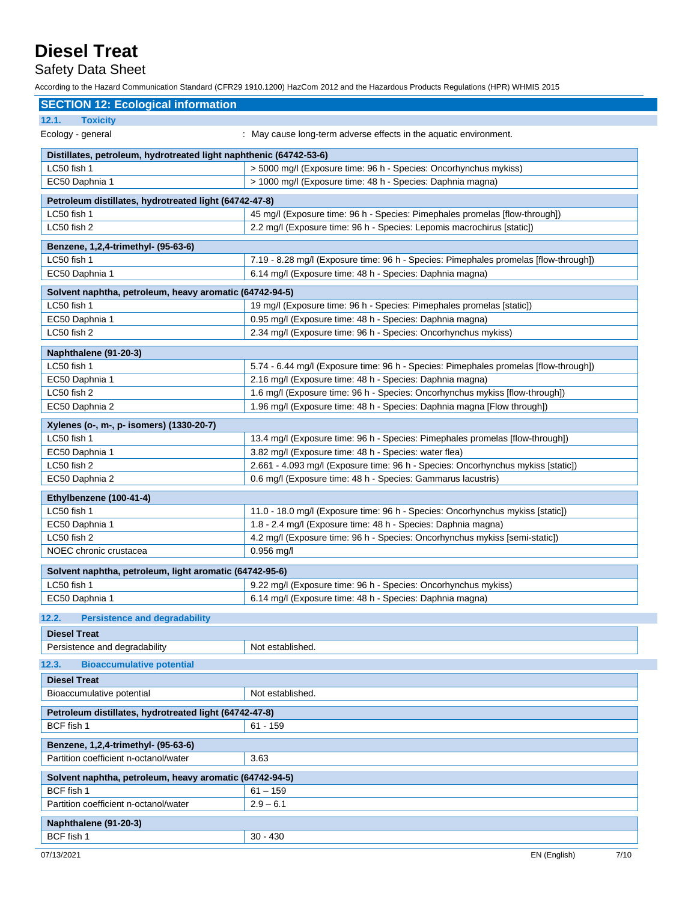Safety Data Sheet

According to the Hazard Communication Standard (CFR29 1910.1200) HazCom 2012 and the Hazardous Products Regulations (HPR) WHMIS 2015

| <b>SECTION 12: Ecological information</b>                          |                                                                                                                                                  |  |  |
|--------------------------------------------------------------------|--------------------------------------------------------------------------------------------------------------------------------------------------|--|--|
| 12.1.<br><b>Toxicity</b>                                           |                                                                                                                                                  |  |  |
| Ecology - general                                                  | : May cause long-term adverse effects in the aquatic environment.                                                                                |  |  |
| Distillates, petroleum, hydrotreated light naphthenic (64742-53-6) |                                                                                                                                                  |  |  |
| LC50 fish 1                                                        | > 5000 mg/l (Exposure time: 96 h - Species: Oncorhynchus mykiss)                                                                                 |  |  |
| EC50 Daphnia 1                                                     | > 1000 mg/l (Exposure time: 48 h - Species: Daphnia magna)                                                                                       |  |  |
| Petroleum distillates, hydrotreated light (64742-47-8)             |                                                                                                                                                  |  |  |
| LC50 fish 1                                                        | 45 mg/l (Exposure time: 96 h - Species: Pimephales promelas [flow-through])                                                                      |  |  |
| LC50 fish 2                                                        | 2.2 mg/l (Exposure time: 96 h - Species: Lepomis macrochirus [static])                                                                           |  |  |
| Benzene, 1,2,4-trimethyl- (95-63-6)                                |                                                                                                                                                  |  |  |
| LC50 fish 1                                                        | 7.19 - 8.28 mg/l (Exposure time: 96 h - Species: Pimephales promelas [flow-through])                                                             |  |  |
| EC50 Daphnia 1                                                     | 6.14 mg/l (Exposure time: 48 h - Species: Daphnia magna)                                                                                         |  |  |
| Solvent naphtha, petroleum, heavy aromatic (64742-94-5)            |                                                                                                                                                  |  |  |
| LC50 fish 1                                                        | 19 mg/l (Exposure time: 96 h - Species: Pimephales promelas [static])                                                                            |  |  |
| EC50 Daphnia 1                                                     | 0.95 mg/l (Exposure time: 48 h - Species: Daphnia magna)                                                                                         |  |  |
| LC50 fish 2                                                        | 2.34 mg/l (Exposure time: 96 h - Species: Oncorhynchus mykiss)                                                                                   |  |  |
|                                                                    |                                                                                                                                                  |  |  |
| Naphthalene (91-20-3)<br>LC50 fish 1                               |                                                                                                                                                  |  |  |
| EC50 Daphnia 1                                                     | 5.74 - 6.44 mg/l (Exposure time: 96 h - Species: Pimephales promelas [flow-through])                                                             |  |  |
| LC50 fish 2                                                        | 2.16 mg/l (Exposure time: 48 h - Species: Daphnia magna)<br>1.6 mg/l (Exposure time: 96 h - Species: Oncorhynchus mykiss [flow-through])         |  |  |
| EC50 Daphnia 2                                                     | 1.96 mg/l (Exposure time: 48 h - Species: Daphnia magna [Flow through])                                                                          |  |  |
|                                                                    |                                                                                                                                                  |  |  |
| Xylenes (o-, m-, p- isomers) (1330-20-7)                           |                                                                                                                                                  |  |  |
| LC50 fish 1                                                        | 13.4 mg/l (Exposure time: 96 h - Species: Pimephales promelas [flow-through])                                                                    |  |  |
| EC50 Daphnia 1<br>LC50 fish 2                                      | 3.82 mg/l (Exposure time: 48 h - Species: water flea)                                                                                            |  |  |
| EC50 Daphnia 2                                                     | 2.661 - 4.093 mg/l (Exposure time: 96 h - Species: Oncorhynchus mykiss [static])<br>0.6 mg/l (Exposure time: 48 h - Species: Gammarus lacustris) |  |  |
|                                                                    |                                                                                                                                                  |  |  |
| Ethylbenzene (100-41-4)                                            |                                                                                                                                                  |  |  |
| LC50 fish 1                                                        | 11.0 - 18.0 mg/l (Exposure time: 96 h - Species: Oncorhynchus mykiss [static])                                                                   |  |  |
| EC50 Daphnia 1                                                     | 1.8 - 2.4 mg/l (Exposure time: 48 h - Species: Daphnia magna)                                                                                    |  |  |
| LC50 fish 2                                                        | 4.2 mg/l (Exposure time: 96 h - Species: Oncorhynchus mykiss [semi-static])                                                                      |  |  |
| NOEC chronic crustacea                                             | $0.956$ mg/l                                                                                                                                     |  |  |
| Solvent naphtha, petroleum, light aromatic (64742-95-6)            |                                                                                                                                                  |  |  |
| LC50 fish 1                                                        | 9.22 mg/l (Exposure time: 96 h - Species: Oncorhynchus mykiss)                                                                                   |  |  |
| EC50 Daphnia 1                                                     | 6.14 mg/l (Exposure time: 48 h - Species: Daphnia magna)                                                                                         |  |  |
| <b>Persistence and degradability</b><br>12.2.                      |                                                                                                                                                  |  |  |
| <b>Diesel Treat</b>                                                |                                                                                                                                                  |  |  |
| Persistence and degradability                                      | Not established.                                                                                                                                 |  |  |
| <b>Bioaccumulative potential</b><br>12.3.                          |                                                                                                                                                  |  |  |
| <b>Diesel Treat</b>                                                |                                                                                                                                                  |  |  |
| Bioaccumulative potential                                          | Not established.                                                                                                                                 |  |  |
|                                                                    |                                                                                                                                                  |  |  |
| Petroleum distillates, hydrotreated light (64742-47-8)             |                                                                                                                                                  |  |  |
| BCF fish 1<br>$61 - 159$                                           |                                                                                                                                                  |  |  |
| Benzene, 1,2,4-trimethyl- (95-63-6)                                |                                                                                                                                                  |  |  |
| Partition coefficient n-octanol/water                              | 3.63                                                                                                                                             |  |  |
| Solvent naphtha, petroleum, heavy aromatic (64742-94-5)            |                                                                                                                                                  |  |  |
| BCF fish 1                                                         | $61 - 159$                                                                                                                                       |  |  |
| Partition coefficient n-octanol/water                              | $2.9 - 6.1$                                                                                                                                      |  |  |
| Naphthalene (91-20-3)                                              |                                                                                                                                                  |  |  |
| BCF fish 1                                                         | $30 - 430$                                                                                                                                       |  |  |
|                                                                    |                                                                                                                                                  |  |  |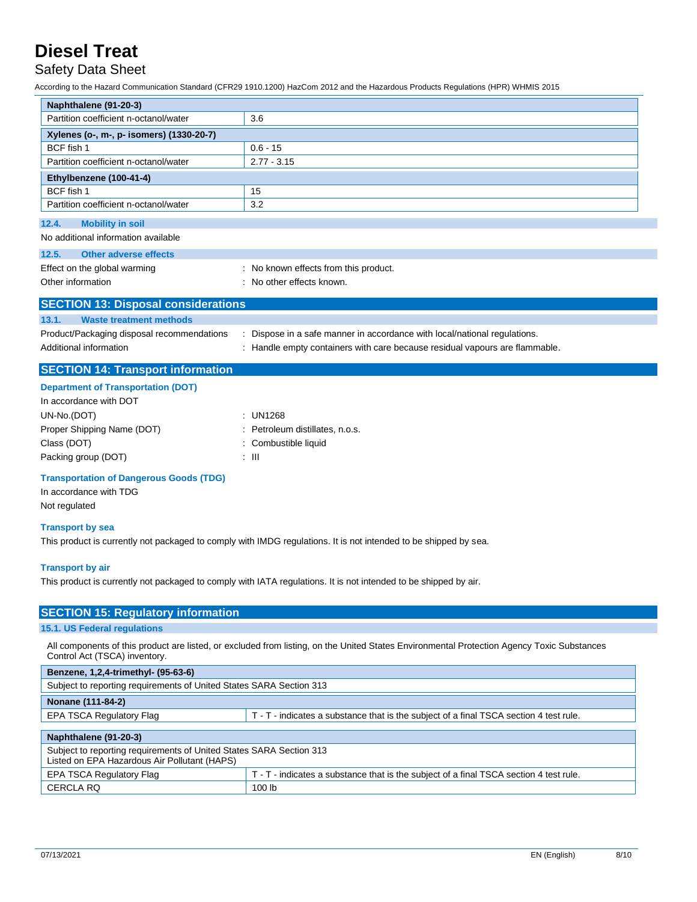### Safety Data Sheet

According to the Hazard Communication Standard (CFR29 1910.1200) HazCom 2012 and the Hazardous Products Regulations (HPR) WHMIS 2015

| Naphthalene (91-20-3)                      |                                       |  |
|--------------------------------------------|---------------------------------------|--|
| Partition coefficient n-octanol/water      | 3.6                                   |  |
| Xylenes (o-, m-, p- isomers) (1330-20-7)   |                                       |  |
| BCF fish 1                                 | $0.6 - 15$                            |  |
| Partition coefficient n-octanol/water      | $2.77 - 3.15$                         |  |
| Ethylbenzene (100-41-4)                    |                                       |  |
| BCF fish 1                                 | 15                                    |  |
| Partition coefficient n-octanol/water      | 3.2                                   |  |
| 12.4.<br><b>Mobility in soil</b>           |                                       |  |
| No additional information available        |                                       |  |
| <b>Other adverse effects</b><br>12.5.      |                                       |  |
| Effect on the global warming               | : No known effects from this product. |  |
| Other information                          | : No other effects known.             |  |
| <b>SECTION 13: Disposal considerations</b> |                                       |  |

| 13.1.<br>Waste treatment methods           |                                                                             |
|--------------------------------------------|-----------------------------------------------------------------------------|
| Product/Packaging disposal recommendations | : Dispose in a safe manner in accordance with local/national regulations.   |
| Additional information                     | : Handle empty containers with care because residual vapours are flammable. |

### **SECTION 14: Transport information**

#### **Department of Transportation (DOT)**

| In accordance with DOT     |       |                                 |
|----------------------------|-------|---------------------------------|
| UN-No.(DOT)                |       | : UN1268                        |
| Proper Shipping Name (DOT) |       | : Petroleum distillates, n.o.s. |
| Class (DOT)                |       | : Combustible liquid            |
| Packing group (DOT)        | : III |                                 |

### **Transportation of Dangerous Goods (TDG)**

In accordance with TDG Not regulated

### **Transport by sea**

This product is currently not packaged to comply with IMDG regulations. It is not intended to be shipped by sea.

#### **Transport by air**

**SECTION 45:** 

This product is currently not packaged to comply with IATA regulations. It is not intended to be shipped by air.

| <b>SECTION 13: Requiatory Information</b>                                                                                                                                   |
|-----------------------------------------------------------------------------------------------------------------------------------------------------------------------------|
| 15.1. US Federal regulations                                                                                                                                                |
| All components of this product are listed, or excluded from listing, on the United States Environmental Protection Agency Toxic Substances<br>Control Act (TSCA) inventory. |
| Benzene, 1,2,4-trimethyl- (95-63-6)                                                                                                                                         |
| Subject to reporting requirements of United States SARA Section 313                                                                                                         |
| Nanono (444 04 2)                                                                                                                                                           |

| <b>EPA TSCA Regulatory Flag</b>                                                                                     | T - T - indicates a substance that is the subject of a final TSCA section 4 test rule. |  |
|---------------------------------------------------------------------------------------------------------------------|----------------------------------------------------------------------------------------|--|
|                                                                                                                     |                                                                                        |  |
| Naphthalene (91-20-3)                                                                                               |                                                                                        |  |
| Subject to reporting requirements of United States SARA Section 313<br>Listed on EPA Hazardous Air Pollutant (HAPS) |                                                                                        |  |
| T - T - indicates a substance that is the subject of a final TSCA section 4 test rule.<br>EPA TSCA Regulatory Flag  |                                                                                        |  |
| CERCLA RQ                                                                                                           | 100 <sub>lb</sub>                                                                      |  |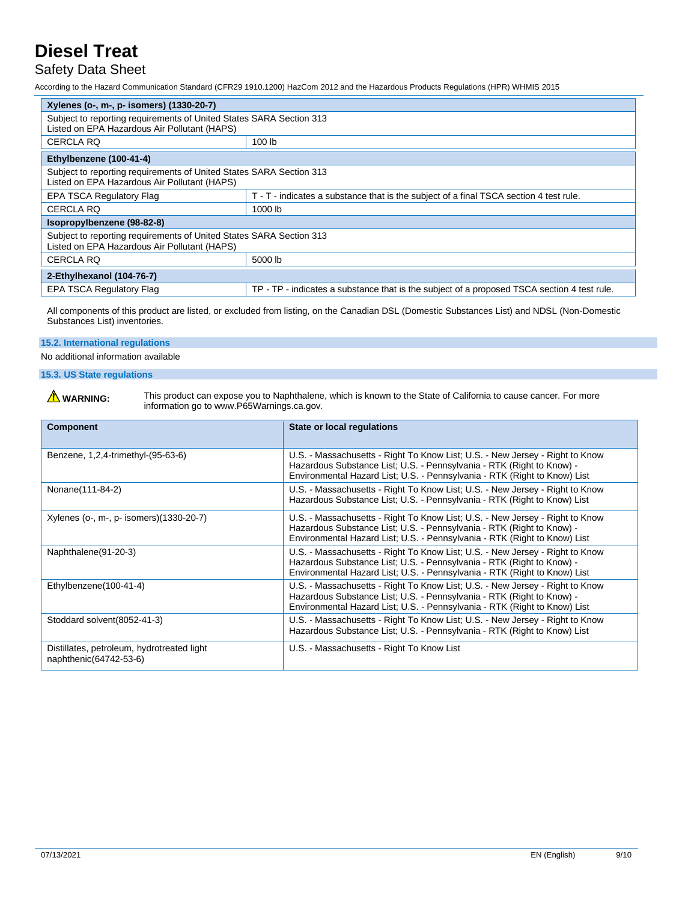### Safety Data Sheet

According to the Hazard Communication Standard (CFR29 1910.1200) HazCom 2012 and the Hazardous Products Regulations (HPR) WHMIS 2015

| Xylenes (o-, m-, p- isomers) (1330-20-7)                                                                            |                                                                                             |  |
|---------------------------------------------------------------------------------------------------------------------|---------------------------------------------------------------------------------------------|--|
| Subject to reporting requirements of United States SARA Section 313<br>Listed on EPA Hazardous Air Pollutant (HAPS) |                                                                                             |  |
| <b>CERCLA RQ</b>                                                                                                    | 100 <sub>lb</sub>                                                                           |  |
| Ethylbenzene (100-41-4)                                                                                             |                                                                                             |  |
| Subject to reporting requirements of United States SARA Section 313<br>Listed on EPA Hazardous Air Pollutant (HAPS) |                                                                                             |  |
| <b>EPA TSCA Regulatory Flag</b>                                                                                     | T - T - indicates a substance that is the subject of a final TSCA section 4 test rule.      |  |
| <b>CERCLA RQ</b>                                                                                                    | 1000 lb                                                                                     |  |
| Isopropylbenzene (98-82-8)                                                                                          |                                                                                             |  |
| Subject to reporting requirements of United States SARA Section 313<br>Listed on EPA Hazardous Air Pollutant (HAPS) |                                                                                             |  |
| 5000 lb<br><b>CERCLA RQ</b>                                                                                         |                                                                                             |  |
| 2-Ethylhexanol (104-76-7)                                                                                           |                                                                                             |  |
| <b>EPA TSCA Regulatory Flag</b>                                                                                     | TP - TP - indicates a substance that is the subject of a proposed TSCA section 4 test rule. |  |

All components of this product are listed, or excluded from listing, on the Canadian DSL (Domestic Substances List) and NDSL (Non-Domestic Substances List) inventories.

### **15.2. International regulations**

No additional information available

### **15.3. US State regulations**

WARNING: This product can expose you to Naphthalene, which is known to the State of California to cause cancer. For more information go to www.P65Warnings.ca.gov.

| <b>Component</b>                                                     | State or local regulations                                                                                                                                                                                                         |
|----------------------------------------------------------------------|------------------------------------------------------------------------------------------------------------------------------------------------------------------------------------------------------------------------------------|
| Benzene, 1,2,4-trimethyl-(95-63-6)                                   | U.S. - Massachusetts - Right To Know List; U.S. - New Jersey - Right to Know<br>Hazardous Substance List; U.S. - Pennsylvania - RTK (Right to Know) -<br>Environmental Hazard List; U.S. - Pennsylvania - RTK (Right to Know) List |
| Nonane(111-84-2)                                                     | U.S. - Massachusetts - Right To Know List; U.S. - New Jersey - Right to Know<br>Hazardous Substance List; U.S. - Pennsylvania - RTK (Right to Know) List                                                                           |
| Xylenes (o-, m-, p- isomers)(1330-20-7)                              | U.S. - Massachusetts - Right To Know List; U.S. - New Jersey - Right to Know<br>Hazardous Substance List; U.S. - Pennsylvania - RTK (Right to Know) -<br>Environmental Hazard List; U.S. - Pennsylvania - RTK (Right to Know) List |
| Naphthalene(91-20-3)                                                 | U.S. - Massachusetts - Right To Know List; U.S. - New Jersey - Right to Know<br>Hazardous Substance List; U.S. - Pennsylvania - RTK (Right to Know) -<br>Environmental Hazard List; U.S. - Pennsylvania - RTK (Right to Know) List |
| Ethylbenzene(100-41-4)                                               | U.S. - Massachusetts - Right To Know List; U.S. - New Jersey - Right to Know<br>Hazardous Substance List; U.S. - Pennsylvania - RTK (Right to Know) -<br>Environmental Hazard List; U.S. - Pennsylvania - RTK (Right to Know) List |
| Stoddard solvent (8052-41-3)                                         | U.S. - Massachusetts - Right To Know List; U.S. - New Jersey - Right to Know<br>Hazardous Substance List; U.S. - Pennsylvania - RTK (Right to Know) List                                                                           |
| Distillates, petroleum, hydrotreated light<br>naphthenic(64742-53-6) | U.S. - Massachusetts - Right To Know List                                                                                                                                                                                          |